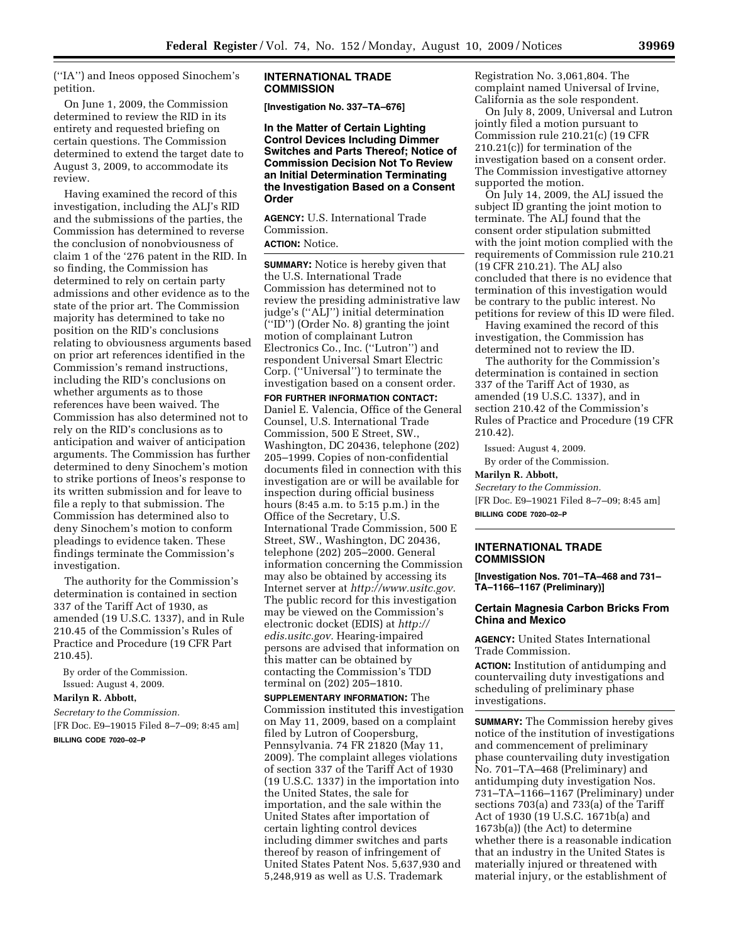(''IA'') and Ineos opposed Sinochem's petition.

On June 1, 2009, the Commission determined to review the RID in its entirety and requested briefing on certain questions. The Commission determined to extend the target date to August 3, 2009, to accommodate its review.

Having examined the record of this investigation, including the ALJ's RID and the submissions of the parties, the Commission has determined to reverse the conclusion of nonobviousness of claim 1 of the '276 patent in the RID. In so finding, the Commission has determined to rely on certain party admissions and other evidence as to the state of the prior art. The Commission majority has determined to take no position on the RID's conclusions relating to obviousness arguments based on prior art references identified in the Commission's remand instructions, including the RID's conclusions on whether arguments as to those references have been waived. The Commission has also determined not to rely on the RID's conclusions as to anticipation and waiver of anticipation arguments. The Commission has further determined to deny Sinochem's motion to strike portions of Ineos's response to its written submission and for leave to file a reply to that submission. The Commission has determined also to deny Sinochem's motion to conform pleadings to evidence taken. These findings terminate the Commission's investigation.

The authority for the Commission's determination is contained in section 337 of the Tariff Act of 1930, as amended (19 U.S.C. 1337), and in Rule 210.45 of the Commission's Rules of Practice and Procedure (19 CFR Part 210.45).

By order of the Commission. Issued: August 4, 2009.

# **Marilyn R. Abbott,**

*Secretary to the Commission.*  [FR Doc. E9–19015 Filed 8–7–09; 8:45 am]

# **BILLING CODE 7020–02–P**

#### **INTERNATIONAL TRADE COMMISSION**

**[Investigation No. 337–TA–676]** 

**In the Matter of Certain Lighting Control Devices Including Dimmer Switches and Parts Thereof; Notice of Commission Decision Not To Review an Initial Determination Terminating the Investigation Based on a Consent Order** 

**AGENCY:** U.S. International Trade Commission. **ACTION:** Notice.

**SUMMARY:** Notice is hereby given that the U.S. International Trade Commission has determined not to review the presiding administrative law judge's (''ALJ'') initial determination (''ID'') (Order No. 8) granting the joint motion of complainant Lutron Electronics Co., Inc. (''Lutron'') and respondent Universal Smart Electric Corp. (''Universal'') to terminate the investigation based on a consent order.

**FOR FURTHER INFORMATION CONTACT:**  Daniel E. Valencia, Office of the General Counsel, U.S. International Trade Commission, 500 E Street, SW., Washington, DC 20436, telephone (202) 205–1999. Copies of non-confidential documents filed in connection with this investigation are or will be available for inspection during official business hours (8:45 a.m. to 5:15 p.m.) in the Office of the Secretary, U.S. International Trade Commission, 500 E Street, SW., Washington, DC 20436, telephone (202) 205–2000. General information concerning the Commission may also be obtained by accessing its Internet server at *http://www.usitc.gov.*  The public record for this investigation may be viewed on the Commission's electronic docket (EDIS) at *http:// edis.usitc.gov.* Hearing-impaired persons are advised that information on this matter can be obtained by contacting the Commission's TDD terminal on (202) 205–1810.

**SUPPLEMENTARY INFORMATION:** The Commission instituted this investigation on May 11, 2009, based on a complaint filed by Lutron of Coopersburg, Pennsylvania. 74 FR 21820 (May 11, 2009). The complaint alleges violations of section 337 of the Tariff Act of 1930 (19 U.S.C. 1337) in the importation into the United States, the sale for importation, and the sale within the United States after importation of certain lighting control devices including dimmer switches and parts thereof by reason of infringement of United States Patent Nos. 5,637,930 and 5,248,919 as well as U.S. Trademark

Registration No. 3,061,804. The complaint named Universal of Irvine, California as the sole respondent.

On July 8, 2009, Universal and Lutron jointly filed a motion pursuant to Commission rule 210.21(c) (19 CFR 210.21(c)) for termination of the investigation based on a consent order. The Commission investigative attorney supported the motion.

On July 14, 2009, the ALJ issued the subject ID granting the joint motion to terminate. The ALJ found that the consent order stipulation submitted with the joint motion complied with the requirements of Commission rule 210.21 (19 CFR 210.21). The ALJ also concluded that there is no evidence that termination of this investigation would be contrary to the public interest. No petitions for review of this ID were filed.

Having examined the record of this investigation, the Commission has determined not to review the ID.

The authority for the Commission's determination is contained in section 337 of the Tariff Act of 1930, as amended (19 U.S.C. 1337), and in section 210.42 of the Commission's Rules of Practice and Procedure (19 CFR 210.42).

Issued: August 4, 2009. By order of the Commission.

#### **Marilyn R. Abbott,**

*Secretary to the Commission.*  [FR Doc. E9–19021 Filed 8–7–09; 8:45 am] **BILLING CODE 7020–02–P** 

#### **INTERNATIONAL TRADE COMMISSION**

**[Investigation Nos. 701–TA–468 and 731– TA–1166–1167 (Preliminary)]** 

# **Certain Magnesia Carbon Bricks From China and Mexico**

**AGENCY:** United States International Trade Commission.

**ACTION:** Institution of antidumping and countervailing duty investigations and scheduling of preliminary phase investigations.

**SUMMARY:** The Commission hereby gives notice of the institution of investigations and commencement of preliminary phase countervailing duty investigation No. 701–TA–468 (Preliminary) and antidumping duty investigation Nos. 731–TA–1166–1167 (Preliminary) under sections 703(a) and 733(a) of the Tariff Act of 1930 (19 U.S.C. 1671b(a) and 1673b(a)) (the Act) to determine whether there is a reasonable indication that an industry in the United States is materially injured or threatened with material injury, or the establishment of